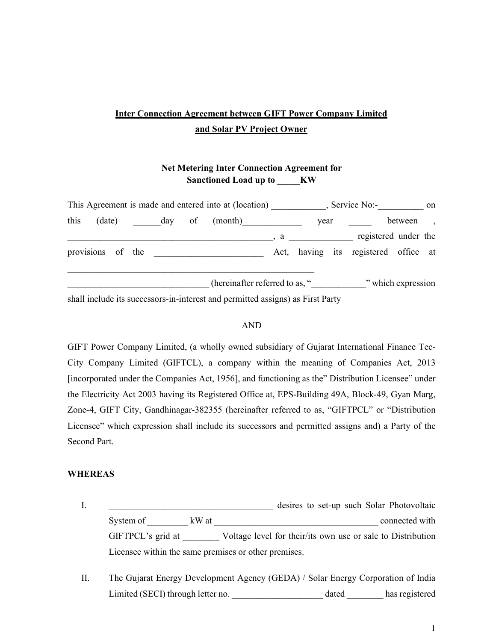# Inter Connection Agreement between GIFT Power Company Limited and Solar PV Project Owner

## Net Metering Inter Connection Agreement for Sanctioned Load up to \_\_\_\_\_KW

| This Agreement is made and entered into at (location) , Service No:- ____________ on |  |  |  |  |                                                                                |  |                                                                                                                                                                                                                                                                                                                                  |                    |                                      |          |  |
|--------------------------------------------------------------------------------------|--|--|--|--|--------------------------------------------------------------------------------|--|----------------------------------------------------------------------------------------------------------------------------------------------------------------------------------------------------------------------------------------------------------------------------------------------------------------------------------|--------------------|--------------------------------------|----------|--|
| this                                                                                 |  |  |  |  | (date) day of (month)                                                          |  |                                                                                                                                                                                                                                                                                                                                  | year               |                                      | between, |  |
|                                                                                      |  |  |  |  |                                                                                |  | $\alpha$ and $\alpha$ and $\alpha$ and $\alpha$ and $\alpha$ and $\alpha$ and $\alpha$ and $\alpha$ and $\alpha$ and $\alpha$ and $\alpha$ and $\alpha$ and $\alpha$ and $\alpha$ and $\alpha$ and $\alpha$ and $\alpha$ and $\alpha$ and $\alpha$ and $\alpha$ and $\alpha$ and $\alpha$ and $\alpha$ and $\alpha$ and $\alpha$ |                    | registered under the                 |          |  |
|                                                                                      |  |  |  |  | provisions of the                                                              |  |                                                                                                                                                                                                                                                                                                                                  |                    | Act, having its registered office at |          |  |
|                                                                                      |  |  |  |  | (hereinafter referred to as, "                                                 |  |                                                                                                                                                                                                                                                                                                                                  | " which expression |                                      |          |  |
|                                                                                      |  |  |  |  | shall include its successors-in-interest and permitted assigns) as First Party |  |                                                                                                                                                                                                                                                                                                                                  |                    |                                      |          |  |

#### AND

GIFT Power Company Limited, (a wholly owned subsidiary of Gujarat International Finance Tec-City Company Limited (GIFTCL), a company within the meaning of Companies Act, 2013 [incorporated under the Companies Act, 1956], and functioning as the" Distribution Licensee" under the Electricity Act 2003 having its Registered Office at, EPS-Building 49A, Block-49, Gyan Marg, Zone-4, GIFT City, Gandhinagar-382355 (hereinafter referred to as, "GIFTPCL" or "Distribution Licensee" which expression shall include its successors and permitted assigns and) a Party of the Second Part.

#### WHEREAS

I. \_\_\_\_\_\_\_\_\_\_\_\_\_\_\_\_\_\_\_\_\_\_\_\_\_\_\_\_\_\_\_\_\_\_\_\_ desires to set-up such Solar Photovoltaic System of \_\_\_\_\_\_\_\_\_ kW at \_\_\_\_\_\_\_\_\_\_\_\_\_\_\_\_\_\_\_\_\_\_\_\_\_\_\_\_\_\_\_\_\_\_\_\_ connected with GIFTPCL's grid at Voltage level for their/its own use or sale to Distribution Licensee within the same premises or other premises.

II. The Gujarat Energy Development Agency (GEDA) / Solar Energy Corporation of India Limited (SECI) through letter no.  $\qquad \qquad$  dated has registered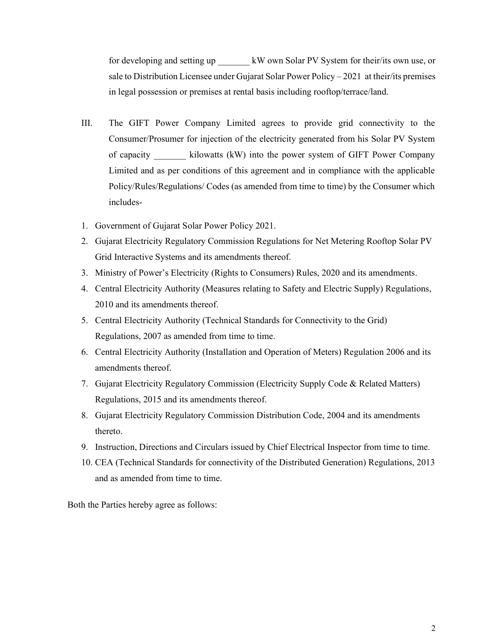for developing and setting up  $\quad$  kW own Solar PV System for their/its own use, or sale to Distribution Licensee under Gujarat Solar Power Policy – 2021 at their/its premises in legal possession or premises at rental basis including rooftop/terrace/land.

- III. The GIFT Power Company Limited agrees to provide grid connectivity to the Consumer/Prosumer for injection of the electricity generated from his Solar PV System of capacity **and interest in the kilowatts (kW)** into the power system of GIFT Power Company Limited and as per conditions of this agreement and in compliance with the applicable Policy/Rules/Regulations/ Codes (as amended from time to time) by the Consumer which includes-
- 1. Government of Gujarat Solar Power Policy 2021.
- 2. Gujarat Electricity Regulatory Commission Regulations for Net Metering Rooftop Solar PV Grid Interactive Systems and its amendments thereof.
- 3. Ministry of Power's Electricity (Rights to Consumers) Rules, 2020 and its amendments.
- 4. Central Electricity Authority (Measures relating to Safety and Electric Supply) Regulations, 2010 and its amendments thereof.
- 5. Central Electricity Authority (Technical Standards for Connectivity to the Grid) Regulations, 2007 as amended from time to time.
- 6. Central Electricity Authority (Installation and Operation of Meters) Regulation 2006 and its amendments thereof.
- 7. Gujarat Electricity Regulatory Commission (Electricity Supply Code & Related Matters) Regulations, 2015 and its amendments thereof.
- 8. Gujarat Electricity Regulatory Commission Distribution Code, 2004 and its amendments thereto.
- 9. Instruction, Directions and Circulars issued by Chief Electrical Inspector from time to time.
- 10. CEA (Technical Standards for connectivity of the Distributed Generation) Regulations, 2013 and as amended from time to time.

Both the Parties hereby agree as follows: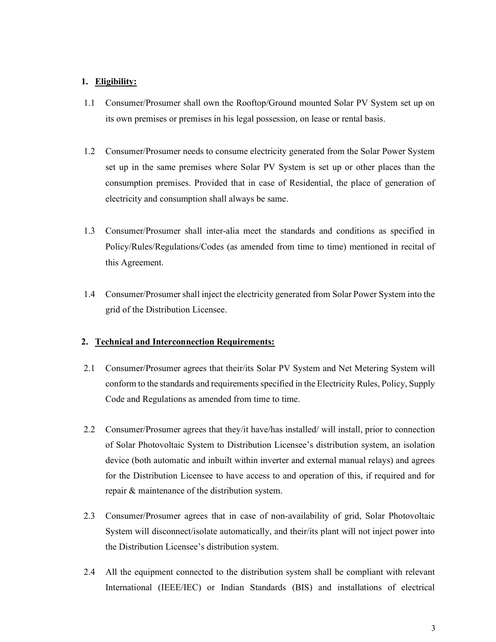## 1. Eligibility:

- 1.1 Consumer/Prosumer shall own the Rooftop/Ground mounted Solar PV System set up on its own premises or premises in his legal possession, on lease or rental basis.
- 1.2 Consumer/Prosumer needs to consume electricity generated from the Solar Power System set up in the same premises where Solar PV System is set up or other places than the consumption premises. Provided that in case of Residential, the place of generation of electricity and consumption shall always be same.
- 1.3 Consumer/Prosumer shall inter-alia meet the standards and conditions as specified in Policy/Rules/Regulations/Codes (as amended from time to time) mentioned in recital of this Agreement.
- 1.4 Consumer/Prosumer shall inject the electricity generated from Solar Power System into the grid of the Distribution Licensee.

#### 2. Technical and Interconnection Requirements:

- 2.1 Consumer/Prosumer agrees that their/its Solar PV System and Net Metering System will conform to the standards and requirements specified in the Electricity Rules, Policy, Supply Code and Regulations as amended from time to time.
- 2.2 Consumer/Prosumer agrees that they/it have/has installed/ will install, prior to connection of Solar Photovoltaic System to Distribution Licensee's distribution system, an isolation device (both automatic and inbuilt within inverter and external manual relays) and agrees for the Distribution Licensee to have access to and operation of this, if required and for repair & maintenance of the distribution system.
- 2.3 Consumer/Prosumer agrees that in case of non-availability of grid, Solar Photovoltaic System will disconnect/isolate automatically, and their/its plant will not inject power into the Distribution Licensee's distribution system.
- 2.4 All the equipment connected to the distribution system shall be compliant with relevant International (IEEE/IEC) or Indian Standards (BIS) and installations of electrical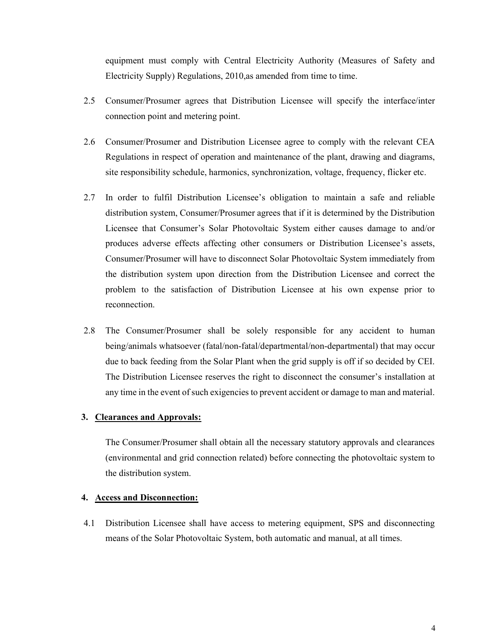equipment must comply with Central Electricity Authority (Measures of Safety and Electricity Supply) Regulations, 2010,as amended from time to time.

- 2.5 Consumer/Prosumer agrees that Distribution Licensee will specify the interface/inter connection point and metering point.
- 2.6 Consumer/Prosumer and Distribution Licensee agree to comply with the relevant CEA Regulations in respect of operation and maintenance of the plant, drawing and diagrams, site responsibility schedule, harmonics, synchronization, voltage, frequency, flicker etc.
- 2.7 In order to fulfil Distribution Licensee's obligation to maintain a safe and reliable distribution system, Consumer/Prosumer agrees that if it is determined by the Distribution Licensee that Consumer's Solar Photovoltaic System either causes damage to and/or produces adverse effects affecting other consumers or Distribution Licensee's assets, Consumer/Prosumer will have to disconnect Solar Photovoltaic System immediately from the distribution system upon direction from the Distribution Licensee and correct the problem to the satisfaction of Distribution Licensee at his own expense prior to reconnection.
- 2.8 The Consumer/Prosumer shall be solely responsible for any accident to human being/animals whatsoever (fatal/non-fatal/departmental/non-departmental) that may occur due to back feeding from the Solar Plant when the grid supply is off if so decided by CEI. The Distribution Licensee reserves the right to disconnect the consumer's installation at any time in the event of such exigencies to prevent accident or damage to man and material.

#### 3. Clearances and Approvals:

The Consumer/Prosumer shall obtain all the necessary statutory approvals and clearances (environmental and grid connection related) before connecting the photovoltaic system to the distribution system.

#### 4. Access and Disconnection:

4.1 Distribution Licensee shall have access to metering equipment, SPS and disconnecting means of the Solar Photovoltaic System, both automatic and manual, at all times.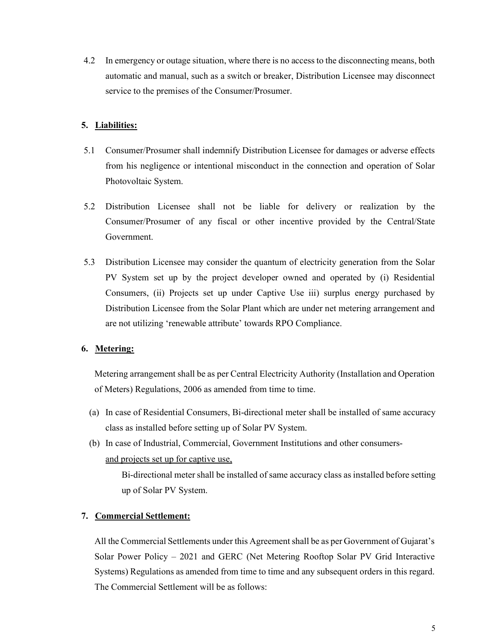4.2 In emergency or outage situation, where there is no access to the disconnecting means, both automatic and manual, such as a switch or breaker, Distribution Licensee may disconnect service to the premises of the Consumer/Prosumer.

## 5. Liabilities:

- 5.1 Consumer/Prosumer shall indemnify Distribution Licensee for damages or adverse effects from his negligence or intentional misconduct in the connection and operation of Solar Photovoltaic System.
- 5.2 Distribution Licensee shall not be liable for delivery or realization by the Consumer/Prosumer of any fiscal or other incentive provided by the Central/State Government.
- 5.3 Distribution Licensee may consider the quantum of electricity generation from the Solar PV System set up by the project developer owned and operated by (i) Residential Consumers, (ii) Projects set up under Captive Use iii) surplus energy purchased by Distribution Licensee from the Solar Plant which are under net metering arrangement and are not utilizing 'renewable attribute' towards RPO Compliance.

#### 6. Metering:

Metering arrangement shall be as per Central Electricity Authority (Installation and Operation of Meters) Regulations, 2006 as amended from time to time.

- (a) In case of Residential Consumers, Bi-directional meter shall be installed of same accuracy class as installed before setting up of Solar PV System.
- (b) In case of Industrial, Commercial, Government Institutions and other consumersand projects set up for captive use,

Bi-directional meter shall be installed of same accuracy class as installed before setting up of Solar PV System.

#### 7. Commercial Settlement:

All the Commercial Settlements under this Agreement shall be as per Government of Gujarat's Solar Power Policy – 2021 and GERC (Net Metering Rooftop Solar PV Grid Interactive Systems) Regulations as amended from time to time and any subsequent orders in this regard. The Commercial Settlement will be as follows: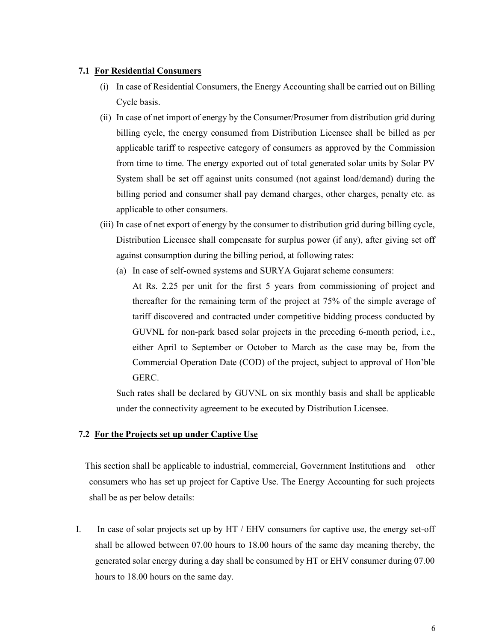#### 7.1 For Residential Consumers

- (i) In case of Residential Consumers, the Energy Accounting shall be carried out on Billing Cycle basis.
- (ii) In case of net import of energy by the Consumer/Prosumer from distribution grid during billing cycle, the energy consumed from Distribution Licensee shall be billed as per applicable tariff to respective category of consumers as approved by the Commission from time to time. The energy exported out of total generated solar units by Solar PV System shall be set off against units consumed (not against load/demand) during the billing period and consumer shall pay demand charges, other charges, penalty etc. as applicable to other consumers.
- (iii) In case of net export of energy by the consumer to distribution grid during billing cycle, Distribution Licensee shall compensate for surplus power (if any), after giving set off against consumption during the billing period, at following rates:
	- (a) In case of self-owned systems and SURYA Gujarat scheme consumers: At Rs. 2.25 per unit for the first 5 years from commissioning of project and thereafter for the remaining term of the project at 75% of the simple average of tariff discovered and contracted under competitive bidding process conducted by GUVNL for non-park based solar projects in the preceding 6-month period, i.e., either April to September or October to March as the case may be, from the Commercial Operation Date (COD) of the project, subject to approval of Hon'ble GERC.

Such rates shall be declared by GUVNL on six monthly basis and shall be applicable under the connectivity agreement to be executed by Distribution Licensee.

#### 7.2 For the Projects set up under Captive Use

 This section shall be applicable to industrial, commercial, Government Institutions and other consumers who has set up project for Captive Use. The Energy Accounting for such projects shall be as per below details:

I. In case of solar projects set up by HT / EHV consumers for captive use, the energy set-off shall be allowed between 07.00 hours to 18.00 hours of the same day meaning thereby, the generated solar energy during a day shall be consumed by HT or EHV consumer during 07.00 hours to 18.00 hours on the same day.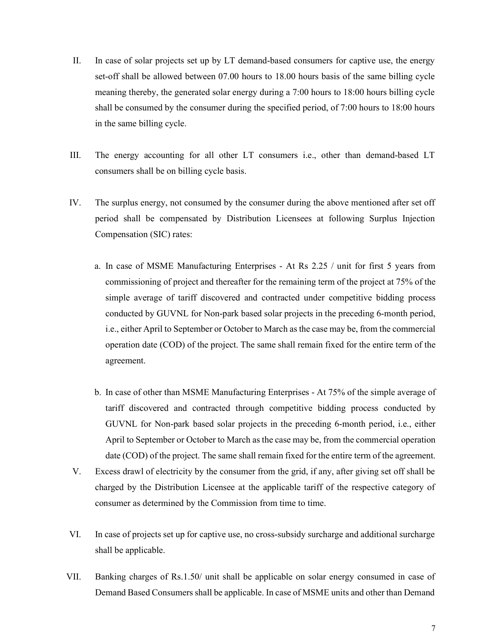- II. In case of solar projects set up by LT demand-based consumers for captive use, the energy set-off shall be allowed between 07.00 hours to 18.00 hours basis of the same billing cycle meaning thereby, the generated solar energy during a 7:00 hours to 18:00 hours billing cycle shall be consumed by the consumer during the specified period, of 7:00 hours to 18:00 hours in the same billing cycle.
- III. The energy accounting for all other LT consumers i.e., other than demand-based LT consumers shall be on billing cycle basis.
- IV. The surplus energy, not consumed by the consumer during the above mentioned after set off period shall be compensated by Distribution Licensees at following Surplus Injection Compensation (SIC) rates:
	- a. In case of MSME Manufacturing Enterprises At Rs 2.25 / unit for first 5 years from commissioning of project and thereafter for the remaining term of the project at 75% of the simple average of tariff discovered and contracted under competitive bidding process conducted by GUVNL for Non-park based solar projects in the preceding 6-month period, i.e., either April to September or October to March as the case may be, from the commercial operation date (COD) of the project. The same shall remain fixed for the entire term of the agreement.
	- b. In case of other than MSME Manufacturing Enterprises At 75% of the simple average of tariff discovered and contracted through competitive bidding process conducted by GUVNL for Non-park based solar projects in the preceding 6-month period, i.e., either April to September or October to March as the case may be, from the commercial operation date (COD) of the project. The same shall remain fixed for the entire term of the agreement.
- V. Excess drawl of electricity by the consumer from the grid, if any, after giving set off shall be charged by the Distribution Licensee at the applicable tariff of the respective category of consumer as determined by the Commission from time to time.
- VI. In case of projects set up for captive use, no cross-subsidy surcharge and additional surcharge shall be applicable.
- VII. Banking charges of Rs.1.50/ unit shall be applicable on solar energy consumed in case of Demand Based Consumers shall be applicable. In case of MSME units and other than Demand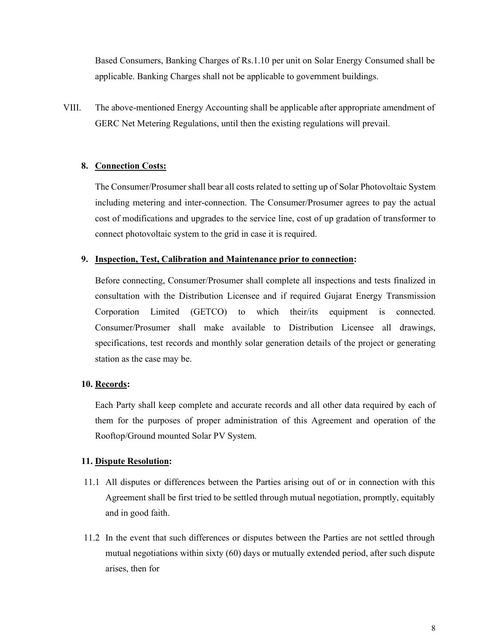Based Consumers, Banking Charges of Rs.1.10 per unit on Solar Energy Consumed shall be applicable. Banking Charges shall not be applicable to government buildings.

VIII. The above-mentioned Energy Accounting shall be applicable after appropriate amendment of GERC Net Metering Regulations, until then the existing regulations will prevail.

## 8. Connection Costs:

The Consumer/Prosumer shall bear all costs related to setting up of Solar Photovoltaic System including metering and inter-connection. The Consumer/Prosumer agrees to pay the actual cost of modifications and upgrades to the service line, cost of up gradation of transformer to connect photovoltaic system to the grid in case it is required.

#### 9. Inspection, Test, Calibration and Maintenance prior to connection:

Before connecting, Consumer/Prosumer shall complete all inspections and tests finalized in consultation with the Distribution Licensee and if required Gujarat Energy Transmission Corporation Limited (GETCO) to which their/its equipment is connected. Consumer/Prosumer shall make available to Distribution Licensee all drawings, specifications, test records and monthly solar generation details of the project or generating station as the case may be.

## 10. Records:

Each Party shall keep complete and accurate records and all other data required by each of them for the purposes of proper administration of this Agreement and operation of the Rooftop/Ground mounted Solar PV System.

#### 11. Dispute Resolution:

- 11.1 All disputes or differences between the Parties arising out of or in connection with this Agreement shall be first tried to be settled through mutual negotiation, promptly, equitably and in good faith.
- 11.2 In the event that such differences or disputes between the Parties are not settled through mutual negotiations within sixty (60) days or mutually extended period, after such dispute arises, then for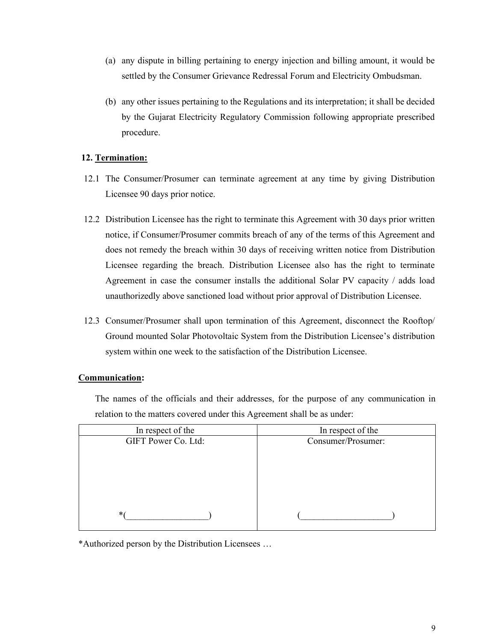- (a) any dispute in billing pertaining to energy injection and billing amount, it would be settled by the Consumer Grievance Redressal Forum and Electricity Ombudsman.
- (b) any other issues pertaining to the Regulations and its interpretation; it shall be decided by the Gujarat Electricity Regulatory Commission following appropriate prescribed procedure.

## 12. Termination:

- 12.1 The Consumer/Prosumer can terminate agreement at any time by giving Distribution Licensee 90 days prior notice.
- 12.2 Distribution Licensee has the right to terminate this Agreement with 30 days prior written notice, if Consumer/Prosumer commits breach of any of the terms of this Agreement and does not remedy the breach within 30 days of receiving written notice from Distribution Licensee regarding the breach. Distribution Licensee also has the right to terminate Agreement in case the consumer installs the additional Solar PV capacity / adds load unauthorizedly above sanctioned load without prior approval of Distribution Licensee.
- 12.3 Consumer/Prosumer shall upon termination of this Agreement, disconnect the Rooftop/ Ground mounted Solar Photovoltaic System from the Distribution Licensee's distribution system within one week to the satisfaction of the Distribution Licensee.

## Communication:

The names of the officials and their addresses, for the purpose of any communication in relation to the matters covered under this Agreement shall be as under:

| In respect of the   | In respect of the  |  |
|---------------------|--------------------|--|
| GIFT Power Co. Ltd: | Consumer/Prosumer: |  |
|                     |                    |  |
|                     |                    |  |
|                     |                    |  |
|                     |                    |  |
|                     |                    |  |
| $*$                 |                    |  |

\*Authorized person by the Distribution Licensees …